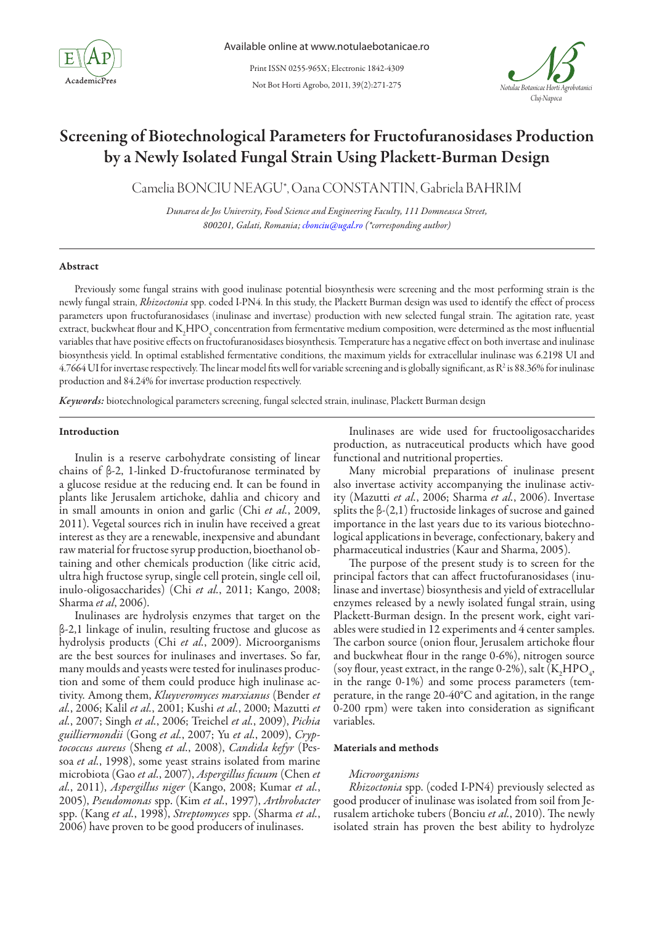

Not Bot Horti Agrobo, 2011, 39(2):271-275 Print ISSN 0255-965X; Electronic 1842-4309



# Screening of Biotechnological Parameters for Fructofuranosidases Production by a Newly Isolated Fungal Strain Using Plackett-Burman Design

Camelia BONCIU NEAGU\*, Oana CONSTANTIN, Gabriela BAHRIM

*Dunarea de Jos University, Food Science and Engineering Faculty, 111 Domneasca Street, 800201, Galati, Romania; cbonciu@ugal.ro (\*corresponding author)*

## Abstract

Previously some fungal strains with good inulinase potential biosynthesis were screening and the most performing strain is the newly fungal strain, *Rhizoctonia* spp. coded I-PN4. In this study, the Plackett Burman design was used to identify the effect of process parameters upon fructofuranosidases (inulinase and invertase) production with new selected fungal strain. The agitation rate, yeast extract, buckwheat flour and  $\rm{K_2HPO_4}$  concentration from fermentative medium composition, were determined as the most influential variables that have positive effects on fructofuranosidases biosynthesis. Temperature has a negative effect on both invertase and inulinase biosynthesis yield. In optimal established fermentative conditions, the maximum yields for extracellular inulinase was 6.2198 UI and 4.7664 UI for invertase respectively. The linear model fits well for variable screening and is globally significant, as R<sup>2</sup> is 88.36% for inulinase production and 84.24% for invertase production respectively.

*Keywords:* biotechnological parameters screening, fungal selected strain, inulinase, Plackett Burman design

# Introduction

Inulin is a reserve carbohydrate consisting of linear chains of β-2, 1-linked D-fructofuranose terminated by a glucose residue at the reducing end. It can be found in plants like Jerusalem artichoke, dahlia and chicory and in small amounts in onion and garlic (Chi *et al.*, 2009, 2011). Vegetal sources rich in inulin have received a great interest as they are a renewable, inexpensive and abundant raw material for fructose syrup production, bioethanol obtaining and other chemicals production (like citric acid, ultra high fructose syrup, single cell protein, single cell oil, inulo-oligosaccharides) (Chi *et al.*, 2011; Kango, 2008; Sharma *et al*, 2006).

Inulinases are hydrolysis enzymes that target on the β-2,1 linkage of inulin, resulting fructose and glucose as hydrolysis products (Chi *et al.*, 2009). Microorganisms are the best sources for inulinases and invertases. So far, many moulds and yeasts were tested for inulinases production and some of them could produce high inulinase activity. Among them, *Kluyveromyces marxianus* (Bender *et al.*, 2006; Kalil *et al.*, 2001; Kushi *et al.*, 2000; Mazutti *et al.*, 2007; Singh *et al.*, 2006; Treichel *et al.*, 2009), *Pichia guilliermondii* (Gong *et al.*, 2007; Yu *et al.*, 2009), *Cryptococcus aureus* (Sheng *et al.*, 2008), *Candida kefyr* (Pessoa *et al.*, 1998), some yeast strains isolated from marine microbiota (Gao *et al.*, 2007), *Aspergillus ficuum* (Chen *et al.*, 2011), *Aspergillus niger* (Kango, 2008; Kumar *et al.*, 2005), *Pseudomonas* spp. (Kim *et al.*, 1997), *Arthrobacter*  spp. (Kang *et al.*, 1998), *Streptomyces* spp. (Sharma *et al.*, 2006) have proven to be good producers of inulinases.

Inulinases are wide used for fructooligosaccharides production, as nutraceutical products which have good functional and nutritional properties.

Many microbial preparations of inulinase present also invertase activity accompanying the inulinase activity (Mazutti *et al.*, 2006; Sharma *et al.*, 2006). Invertase splits the  $\beta$ -(2,1) fructoside linkages of sucrose and gained importance in the last years due to its various biotechnological applications in beverage, confectionary, bakery and pharmaceutical industries (Kaur and Sharma, 2005).

The purpose of the present study is to screen for the principal factors that can affect fructofuranosidases (inulinase and invertase) biosynthesis and yield of extracellular enzymes released by a newly isolated fungal strain, using Plackett-Burman design. In the present work, eight variables were studied in 12 experiments and 4 center samples. The carbon source (onion flour, Jerusalem artichoke flour and buckwheat flour in the range 0-6%), nitrogen source (soy flour, yeast extract, in the range 0-2%), salt  $(K_2{\text{HPO}_4},$ in the range 0-1%) and some process parameters (temperature, in the range 20-40°C and agitation, in the range 0-200 rpm) were taken into consideration as significant variables.

## Materials and methods

# *Microorganisms*

*Rhizoctonia* spp. (coded I-PN4) previously selected as good producer of inulinase was isolated from soil from Jerusalem artichoke tubers (Bonciu *et al.*, 2010). The newly isolated strain has proven the best ability to hydrolyze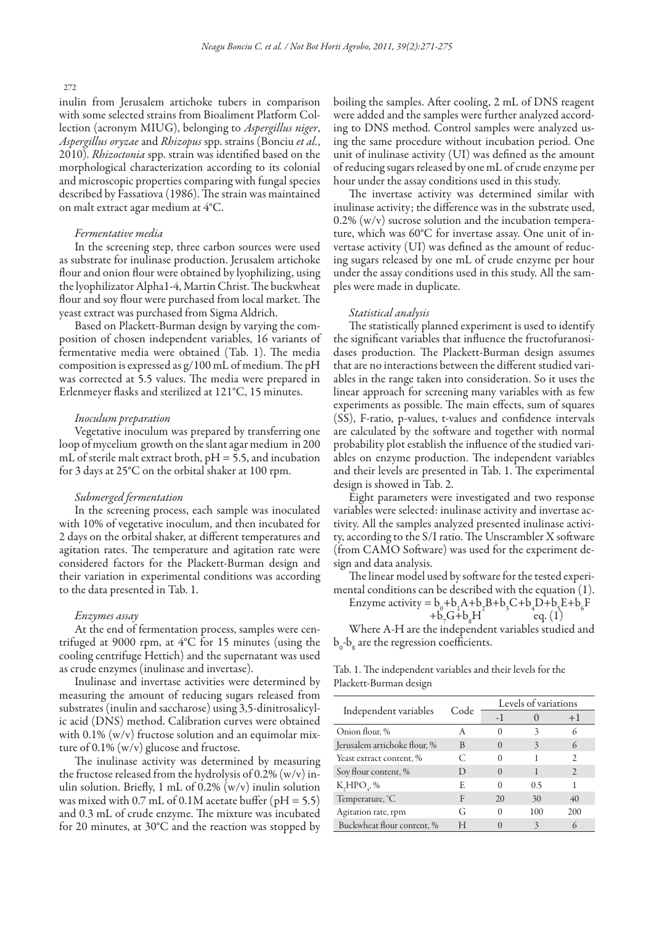#### 272

inulin from Jerusalem artichoke tubers in comparison with some selected strains from Bioaliment Platform Collection (acronym MIUG), belonging to *Aspergillus niger*, *Aspergillus oryzae* and *Rhizopus* spp. strains (Bonciu *et al.*, 2010). *Rhizoctonia* spp. strain was identified based on the morphological characterization according to its colonial and microscopic properties comparing with fungal species described by Fassatiova (1986). The strain was maintained on malt extract agar medium at 4°C.

### *Fermentative media*

In the screening step, three carbon sources were used as substrate for inulinase production. Jerusalem artichoke flour and onion flour were obtained by lyophilizing, using the lyophilizator Alpha1-4, Martin Christ. The buckwheat flour and soy flour were purchased from local market. The yeast extract was purchased from Sigma Aldrich.

Based on Plackett-Burman design by varying the composition of chosen independent variables, 16 variants of fermentative media were obtained (Tab. 1). The media composition is expressed as g/100 mL of medium. The pH was corrected at 5.5 values. The media were prepared in Erlenmeyer flasks and sterilized at 121°C, 15 minutes.

#### *Inoculum preparation*

Vegetative inoculum was prepared by transferring one loop of mycelium growth on the slant agar medium in 200 mL of sterile malt extract broth,  $pH = 5.5$ , and incubation for 3 days at 25°C on the orbital shaker at 100 rpm.

# *Submerged fermentation*

In the screening process, each sample was inoculated with 10% of vegetative inoculum, and then incubated for 2 days on the orbital shaker, at different temperatures and agitation rates. The temperature and agitation rate were considered factors for the Plackett-Burman design and their variation in experimental conditions was according to the data presented in Tab. 1.

#### *Enzymes assay*

At the end of fermentation process, samples were centrifuged at 9000 rpm, at 4°C for 15 minutes (using the cooling centrifuge Hettich) and the supernatant was used as crude enzymes (inulinase and invertase).

Inulinase and invertase activities were determined by measuring the amount of reducing sugars released from substrates (inulin and saccharose) using 3,5-dinitrosalicylic acid (DNS) method. Calibration curves were obtained with  $0.1\%$  (w/v) fructose solution and an equimolar mixture of 0.1% (w/v) glucose and fructose.

The inulinase activity was determined by measuring the fructose released from the hydrolysis of 0.2% (w/v) inulin solution. Briefly, 1 mL of  $0.2\%$  (w/v) inulin solution was mixed with  $0.7$  mL of  $0.1M$  acetate buffer (pH = 5.5) and 0.3 mL of crude enzyme. The mixture was incubated for 20 minutes, at 30°C and the reaction was stopped by

boiling the samples. After cooling, 2 mL of DNS reagent were added and the samples were further analyzed according to DNS method. Control samples were analyzed using the same procedure without incubation period. One unit of inulinase activity (UI) was defined as the amount of reducing sugars released by one mL of crude enzyme per hour under the assay conditions used in this study.

The invertase activity was determined similar with inulinase activity; the difference was in the substrate used, 0.2% (w/v) sucrose solution and the incubation temperature, which was 60°C for invertase assay. One unit of invertase activity (UI) was defined as the amount of reducing sugars released by one mL of crude enzyme per hour under the assay conditions used in this study. All the samples were made in duplicate.

## *Statistical analysis*

The statistically planned experiment is used to identify the significant variables that influence the fructofuranosidases production. The Plackett-Burman design assumes that are no interactions between the different studied variables in the range taken into consideration. So it uses the linear approach for screening many variables with as few experiments as possible. The main effects, sum of squares (SS), F-ratio, p-values, t-values and confidence intervals are calculated by the software and together with normal probability plot establish the influence of the studied variables on enzyme production. The independent variables and their levels are presented in Tab. 1. The experimental design is showed in Tab. 2.

Eight parameters were investigated and two response variables were selected: inulinase activity and invertase activity. All the samples analyzed presented inulinase activity, according to the S/I ratio. The Unscrambler X software (from CAMO Software) was used for the experiment design and data analysis.

The linear model used by software for the tested experi-

mental conditions can be described with the equation (1). Enzyme activity =  $b_0 + b_1A + b_2B + b_3C + b_4D + b_5E + b_6F$  $+b<sub>7</sub>$  $+b_{7}G+b_{8}H$ eq.  $(1)$ 

Where A-H are the independent variables studied and  $b_0$ - $b_8$  are the regression coefficients.

Tab. 1. The independent variables and their levels for the Plackett-Burman design

|                              | Code   | Levels of variations |     |               |  |
|------------------------------|--------|----------------------|-----|---------------|--|
| Independent variables        |        | - 1                  |     | $+1$          |  |
| Onion flour, %               | A      |                      | 3   |               |  |
| Jerusalem artichoke flour, % | B      |                      | 3   | 6             |  |
| Yeast extract content, %     |        |                      |     | $\mathcal{P}$ |  |
| Soy flour content, %         | $\Box$ |                      |     | $\mathcal{P}$ |  |
| $K,$ HPO <sub>4</sub> , %    | F.     | 0                    | 0.5 |               |  |
| Temperature, °C              | F      | 20                   | 30  | 40            |  |
| Agitation rate, rpm          | G      |                      | 100 | 200           |  |
| Buckwheat flour content, %   | Н      |                      |     |               |  |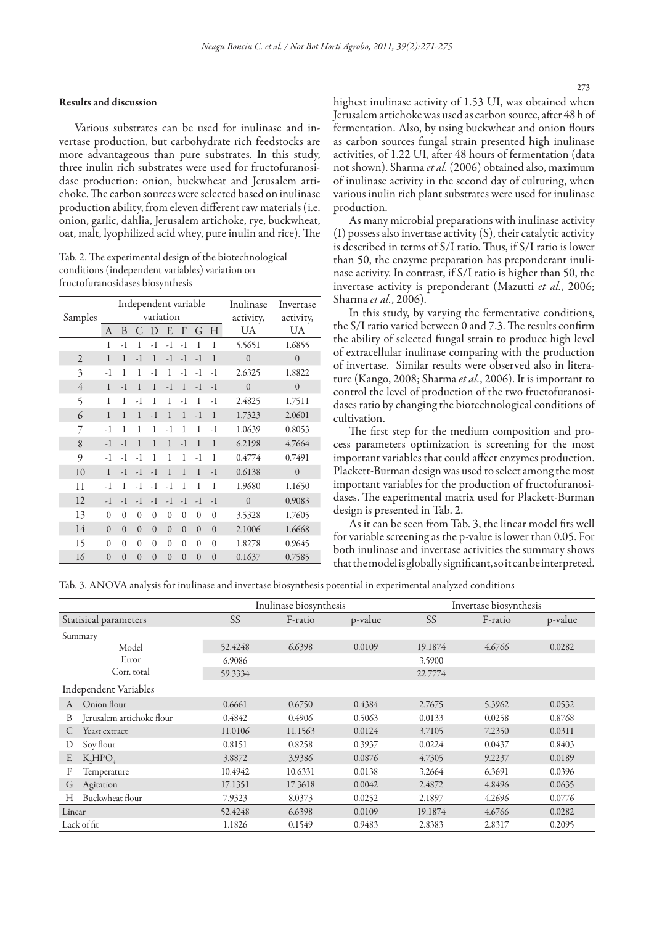# Results and discussion

Various substrates can be used for inulinase and invertase production, but carbohydrate rich feedstocks are more advantageous than pure substrates. In this study, three inulin rich substrates were used for fructofuranosidase production: onion, buckwheat and Jerusalem artichoke. The carbon sources were selected based on inulinase production ability, from eleven different raw materials (i.e. onion, garlic, dahlia, Jerusalem artichoke, rye, buckwheat, oat, malt, lyophilized acid whey, pure inulin and rice). The

Tab. 2. The experimental design of the biotechnological conditions (independent variables) variation on fructofuranosidases biosynthesis

|                | Independent variable |                |                |                |                |                |                | Inulinase      | Invertase      |                |
|----------------|----------------------|----------------|----------------|----------------|----------------|----------------|----------------|----------------|----------------|----------------|
| Samples        | variation            |                |                |                |                |                |                |                | activity,      | activity,      |
|                | А                    | B              | Ċ              | D              | E              | F              | G              | H              | UA             | UA             |
|                | 1                    | -1             | 1              | -1             | $-1$           | -1             | 1              | 1              | 5.5651         | 1.6855         |
| $\overline{2}$ | $\mathbf{1}$         | 1              | $-1$           | 1              | $-1$           | -1             | $-1$           | $\mathbf{1}$   | $\overline{0}$ | $\overline{0}$ |
| 3              | $-1$                 | 1              | 1              | -1             | 1              | -1             | -1             | $-1$           | 2.6325         | 1.8822         |
| 4              | 1                    | $-1$           | $\mathbf{1}$   | 1              | $-1$           | 1              | $-1$           | $-1$           | $\overline{0}$ | $\overline{0}$ |
| 5              | 1                    | 1              | $-1$           | 1              | 1              | -1             | 1              | -1             | 2.4825         | 1.7511         |
| 6              | 1                    | 1              | 1              | $-1$           | 1              | 1              | $-1$           | $\mathbf{1}$   | 1.7323         | 2.0601         |
| 7              | $-1$                 | 1              | 1              | 1              | $-1$           | 1              | 1              | -1             | 1.0639         | 0.8053         |
| 8              | $-1$                 | $-1$           | 1              | $\mathbf{1}$   | 1              | $-1$           | $\mathbf{1}$   | $\mathbf{1}$   | 6.2198         | 4.7664         |
| 9              | $-1$                 | $-1$           | $-1$           | 1              | 1              | 1              | - 1            | 1              | 0.4774         | 0.7491         |
| 10             | 1                    | $-1$           | $-1$           | $-1$           | 1              | 1              | 1              | $-1$           | 0.6138         | $\overline{0}$ |
| 11             | $-1$                 | 1              | $-1$           | $-1$           | $-1$           | 1              | 1              | 1              | 1.9680         | 1.1650         |
| 12             | $-1$                 | $-1$           | $-1$           | $-1$           | $-1$           | $-1$           | $-1$           | $-1$           | $\theta$       | 0.9083         |
| 13             | $\theta$             | $\theta$       | $\theta$       | $\theta$       | $\overline{0}$ | $\overline{0}$ | $\theta$       | $\theta$       | 3.5328         | 1.7605         |
| 14             | $\Omega$             | $\overline{0}$ | $\overline{0}$ | $\theta$       | $\overline{0}$ | $\overline{0}$ | $\overline{0}$ | $\overline{0}$ | 2.1006         | 1.6668         |
| 15             | $\theta$             | $\theta$       | $\theta$       | $\theta$       | $\overline{0}$ | $\overline{0}$ | $\theta$       | $\theta$       | 1.8278         | 0.9645         |
| 16             | $\overline{0}$       | $\overline{0}$ | $\overline{0}$ | $\overline{0}$ | $\overline{0}$ | $\overline{0}$ | $\mathbf{0}$   | $\overline{0}$ | 0.1637         | 0.7585         |

highest inulinase activity of 1.53 UI, was obtained when Jerusalem artichoke was used as carbon source, after 48 h of fermentation. Also, by using buckwheat and onion flours as carbon sources fungal strain presented high inulinase activities, of 1.22 UI, after 48 hours of fermentation (data not shown). Sharma *et al.* (2006) obtained also, maximum of inulinase activity in the second day of culturing, when various inulin rich plant substrates were used for inulinase production.

As many microbial preparations with inulinase activity  $(I)$  possess also invertase activity  $(S)$ , their catalytic activity is described in terms of S/I ratio. Thus, if S/I ratio is lower than 50, the enzyme preparation has preponderant inulinase activity. In contrast, if S/I ratio is higher than 50, the invertase activity is preponderant (Mazutti *et al.*, 2006; Sharma *et al.*, 2006).

In this study, by varying the fermentative conditions, the S/I ratio varied between 0 and 7.3. The results confirm the ability of selected fungal strain to produce high level of extracellular inulinase comparing with the production of invertase. Similar results were observed also in literature (Kango, 2008; Sharma *et al.*, 2006). It is important to control the level of production of the two fructofuranosidases ratio by changing the biotechnological conditions of cultivation.

The first step for the medium composition and process parameters optimization is screening for the most important variables that could affect enzymes production. Plackett-Burman design was used to select among the most important variables for the production of fructofuranosidases. The experimental matrix used for Plackett-Burman design is presented in Tab. 2.

As it can be seen from Tab. 3, the linear model fits well for variable screening as the p-value is lower than 0.05. For both inulinase and invertase activities the summary shows that the model is globally significant, so it can be interpreted.

Tab. 3. ANOVA analysis for inulinase and invertase biosynthesis potential in experimental analyzed conditions

|                              |                           | Inulinase biosynthesis |         |         | Invertase biosynthesis |         |         |  |
|------------------------------|---------------------------|------------------------|---------|---------|------------------------|---------|---------|--|
|                              | Statisical parameters     | SS                     | F-ratio | p-value | SS                     | F-ratio | p-value |  |
| Summary                      |                           |                        |         |         |                        |         |         |  |
|                              | Model                     | 52.4248                | 6.6398  | 0.0109  | 19.1874                | 4.6766  | 0.0282  |  |
|                              | Error                     | 6.9086                 |         |         | 3.5900                 |         |         |  |
|                              | Corr. total               | 59.3334                |         |         | 22.7774                |         |         |  |
| <b>Independent Variables</b> |                           |                        |         |         |                        |         |         |  |
| A                            | Onion flour               | 0.6661                 | 0.6750  | 0.4384  | 2.7675                 | 5.3962  | 0.0532  |  |
| В                            | Jerusalem artichoke flour | 0.4842                 | 0.4906  | 0.5063  | 0.0133                 | 0.0258  | 0.8768  |  |
| C                            | Yeast extract             | 11.0106                | 11.1563 | 0.0124  | 3.7105                 | 7.2350  | 0.0311  |  |
|                              | Soy flour                 | 0.8151                 | 0.8258  | 0.3937  | 0.0224                 | 0.0437  | 0.8403  |  |
| E                            | $K,$ HPO                  | 3.8872                 | 3.9386  | 0.0876  | 4.7305                 | 9.2237  | 0.0189  |  |
| F                            | Temperature               | 10.4942                | 10.6331 | 0.0138  | 3.2664                 | 6.3691  | 0.0396  |  |
| G                            | Agitation                 | 17.1351                | 17.3618 | 0.0042  | 2.4872                 | 4.8496  | 0.0635  |  |
| H                            | Buckwheat flour           | 7.9323                 | 8.0373  | 0.0252  | 2.1897                 | 4.2696  | 0.0776  |  |
| Linear                       |                           | 52.4248                | 6.6398  | 0.0109  | 19.1874                | 4.6766  | 0.0282  |  |
|                              | Lack of fit               | 1.1826                 | 0.1549  | 0.9483  | 2.8383                 | 2.8317  | 0.2095  |  |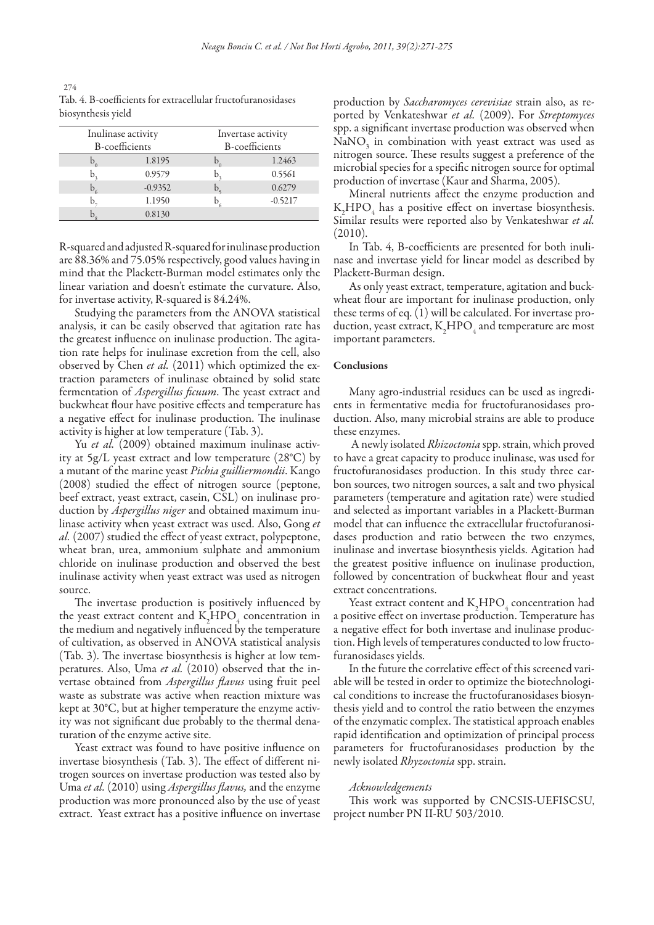274 Tab. 4. B-coefficients for extracellular fructofuranosidases biosynthesis yield

|         | Inulinase activity     | Invertase activity     |           |  |  |
|---------|------------------------|------------------------|-----------|--|--|
|         | <b>B</b> -coefficients | <b>B</b> -coefficients |           |  |  |
| $v_{0}$ | 1.8195                 | $D_{\alpha}$           | 1.2463    |  |  |
| D,      | 0.9579                 | $D_{2}$                | 0.5561    |  |  |
| $D_{6}$ | $-0.9352$              | $D_{\epsilon}$         | 0.6279    |  |  |
| b.      | 1.1950                 | $D_6$                  | $-0.5217$ |  |  |
|         | 0.8130                 |                        |           |  |  |

R-squared and adjusted R-squared for inulinase production are 88.36% and 75.05% respectively, good values having in mind that the Plackett-Burman model estimates only the linear variation and doesn't estimate the curvature. Also, for invertase activity, R-squared is 84.24%.

Studying the parameters from the ANOVA statistical analysis, it can be easily observed that agitation rate has the greatest influence on inulinase production. The agitation rate helps for inulinase excretion from the cell, also observed by Chen *et al.* (2011) which optimized the extraction parameters of inulinase obtained by solid state fermentation of *Aspergillus ficuum*. The yeast extract and buckwheat flour have positive effects and temperature has a negative effect for inulinase production. The inulinase activity is higher at low temperature (Tab. 3).

Yu *et al.* (2009) obtained maximum inulinase activity at 5g/L yeast extract and low temperature (28°C) by a mutant of the marine yeast *Pichia guilliermondii*. Kango (2008) studied the effect of nitrogen source (peptone, beef extract, yeast extract, casein, CSL) on inulinase production by *Aspergillus niger* and obtained maximum inulinase activity when yeast extract was used. Also, Gong *et al.* (2007) studied the effect of yeast extract, polypeptone, wheat bran, urea, ammonium sulphate and ammonium chloride on inulinase production and observed the best inulinase activity when yeast extract was used as nitrogen source.

The invertase production is positively influenced by the yeast extract content and  $K_2{\text{HPO}_4}$  concentration in the medium and negatively influenced by the temperature of cultivation, as observed in ANOVA statistical analysis (Tab. 3). The invertase biosynthesis is higher at low temperatures. Also, Uma *et al.* (2010) observed that the invertase obtained from *Aspergillus flavus* using fruit peel waste as substrate was active when reaction mixture was kept at 30°C, but at higher temperature the enzyme activity was not significant due probably to the thermal denaturation of the enzyme active site.

Yeast extract was found to have positive influence on invertase biosynthesis (Tab. 3). The effect of different nitrogen sources on invertase production was tested also by Uma *et al.* (2010) using *Aspergillus flavus,* and the enzyme production was more pronounced also by the use of yeast extract. Yeast extract has a positive influence on invertase

production by *Saccharomyces cerevisiae* strain also, as reported by Venkateshwar *et al.* (2009). For *Streptomyces* spp. a significant invertase production was observed when  $\text{NaNO}_3$  in combination with yeast extract was used as nitrogen source. These results suggest a preference of the microbial species for a specific nitrogen source for optimal production of invertase (Kaur and Sharma, 2005).

Mineral nutrients affect the enzyme production and  $K_2$ HPO<sub>4</sub> has a positive effect on invertase biosynthesis. Similar results were reported also by Venkateshwar *et al.*  $(2010).$ 

In Tab. 4, B-coefficients are presented for both inulinase and invertase yield for linear model as described by Plackett-Burman design.

As only yeast extract, temperature, agitation and buckwheat flour are important for inulinase production, only these terms of eq. (1) will be calculated. For invertase production, yeast extract,  $\mathrm{K_2HPO_4}$  and temperature are most important parameters.

## **Conclusions**

Many agro-industrial residues can be used as ingredients in fermentative media for fructofuranosidases production. Also, many microbial strains are able to produce these enzymes.

 A newly isolated *Rhizoctonia* spp. strain, which proved to have a great capacity to produce inulinase, was used for fructofuranosidases production. In this study three carbon sources, two nitrogen sources, a salt and two physical parameters (temperature and agitation rate) were studied and selected as important variables in a Plackett-Burman model that can influence the extracellular fructofuranosidases production and ratio between the two enzymes, inulinase and invertase biosynthesis yields. Agitation had the greatest positive influence on inulinase production, followed by concentration of buckwheat flour and yeast extract concentrations.

Yeast extract content and  $K_2HPO_4$  concentration had a positive effect on invertase production. Temperature has a negative effect for both invertase and inulinase production. High levels of temperatures conducted to low fructofuranosidases yields.

In the future the correlative effect of this screened variable will be tested in order to optimize the biotechnological conditions to increase the fructofuranosidases biosynthesis yield and to control the ratio between the enzymes of the enzymatic complex. The statistical approach enables rapid identification and optimization of principal process parameters for fructofuranosidases production by the newly isolated *Rhyzoctonia* spp. strain.

#### *Acknowledgements*

This work was supported by CNCSIS-UEFISCSU, project number PN II-RU 503/2010.